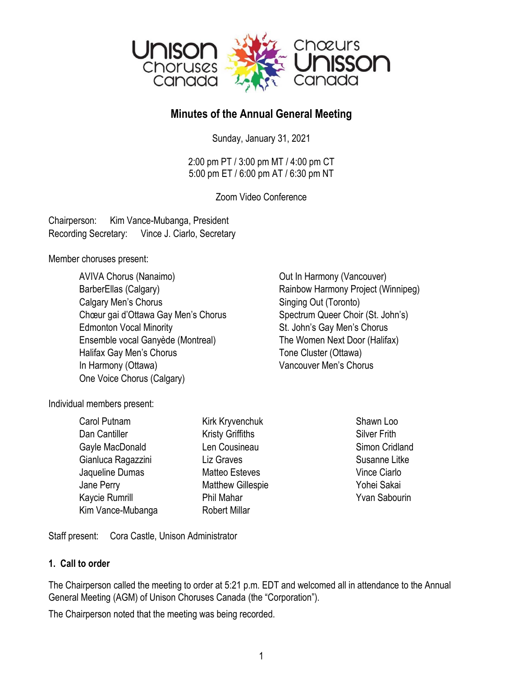

# **Minutes of the Annual General Meeting**

Sunday, January 31, 2021

2:00 pm PT / 3:00 pm MT / 4:00 pm CT 5:00 pm ET / 6:00 pm AT / 6:30 pm NT

Zoom Video Conference

Chairperson: Kim Vance-Mubanga, President Recording Secretary: Vince J. Ciarlo, Secretary

Member choruses present:

AVIVA Chorus (Nanaimo) Charlotte Cout In Harmony (Vancouver) BarberEllas (Calgary) **Rainbow Harmony Project (Winnipeg)** Calgary Men's Chorus **Singing Out (Toronto)** Chœur gai d'Ottawa Gay Men's Chorus Spectrum Queer Choir (St. John's) Edmonton Vocal Minority **St. John's Gay Men's Chorus** Ensemble vocal Ganyède (Montreal) The Women Next Door (Halifax) Halifax Gay Men's Chorus Tone Cluster (Ottawa) In Harmony (Ottawa) Vancouver Men's Chorus One Voice Chorus (Calgary)

Individual members present:

| Carol Putnam       | Kirk Kryvenchuk          | Shawn Loo            |
|--------------------|--------------------------|----------------------|
| Dan Cantiller      | <b>Kristy Griffiths</b>  | <b>Silver Frith</b>  |
| Gayle MacDonald    | Len Cousineau            | Simon Cridland       |
| Gianluca Ragazzini | Liz Graves               | Susanne Litke        |
| Jaqueline Dumas    | <b>Matteo Esteves</b>    | Vince Ciarlo         |
| Jane Perry         | <b>Matthew Gillespie</b> | Yohei Sakai          |
| Kaycie Rumrill     | Phil Mahar               | <b>Yvan Sabourin</b> |
| Kim Vance-Mubanga  | <b>Robert Millar</b>     |                      |

Staff present: Cora Castle, Unison Administrator

# **1. Call to order**

The Chairperson called the meeting to order at 5:21 p.m. EDT and welcomed all in attendance to the Annual General Meeting (AGM) of Unison Choruses Canada (the "Corporation").

The Chairperson noted that the meeting was being recorded.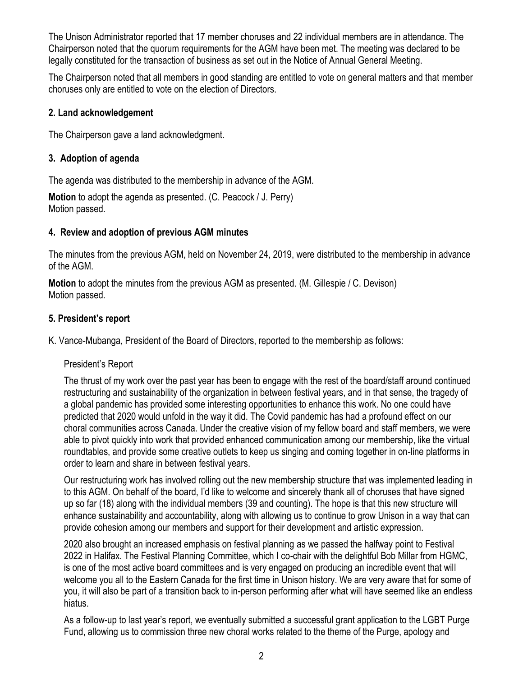The Unison Administrator reported that 17 member choruses and 22 individual members are in attendance. The Chairperson noted that the quorum requirements for the AGM have been met. The meeting was declared to be legally constituted for the transaction of business as set out in the Notice of Annual General Meeting.

The Chairperson noted that all members in good standing are entitled to vote on general matters and that member choruses only are entitled to vote on the election of Directors.

### **2. Land acknowledgement**

The Chairperson gave a land acknowledgment.

# **3. Adoption of agenda**

The agenda was distributed to the membership in advance of the AGM.

**Motion** to adopt the agenda as presented. (C. Peacock / J. Perry) Motion passed.

# **4. Review and adoption of previous AGM minutes**

The minutes from the previous AGM, held on November 24, 2019, were distributed to the membership in advance of the AGM.

**Motion** to adopt the minutes from the previous AGM as presented. (M. Gillespie / C. Devison) Motion passed.

### **5. President's report**

K. Vance-Mubanga, President of the Board of Directors, reported to the membership as follows:

# President's Report

The thrust of my work over the past year has been to engage with the rest of the board/staff around continued restructuring and sustainability of the organization in between festival years, and in that sense, the tragedy of a global pandemic has provided some interesting opportunities to enhance this work. No one could have predicted that 2020 would unfold in the way it did. The Covid pandemic has had a profound effect on our choral communities across Canada. Under the creative vision of my fellow board and staff members, we were able to pivot quickly into work that provided enhanced communication among our membership, like the virtual roundtables, and provide some creative outlets to keep us singing and coming together in on-line platforms in order to learn and share in between festival years.

Our restructuring work has involved rolling out the new membership structure that was implemented leading in to this AGM. On behalf of the board, I'd like to welcome and sincerely thank all of choruses that have signed up so far (18) along with the individual members (39 and counting). The hope is that this new structure will enhance sustainability and accountability, along with allowing us to continue to grow Unison in a way that can provide cohesion among our members and support for their development and artistic expression.

2020 also brought an increased emphasis on festival planning as we passed the halfway point to Festival 2022 in Halifax. The Festival Planning Committee, which I co-chair with the delightful Bob Millar from HGMC, is one of the most active board committees and is very engaged on producing an incredible event that will welcome you all to the Eastern Canada for the first time in Unison history. We are very aware that for some of you, it will also be part of a transition back to in-person performing after what will have seemed like an endless hiatus.

As a follow-up to last year's report, we eventually submitted a successful grant application to the LGBT Purge Fund, allowing us to commission three new choral works related to the theme of the Purge, apology and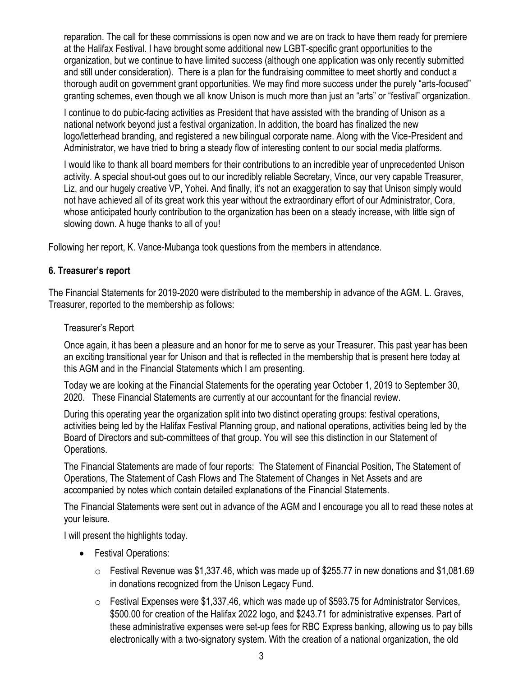reparation. The call for these commissions is open now and we are on track to have them ready for premiere at the Halifax Festival. I have brought some additional new LGBT-specific grant opportunities to the organization, but we continue to have limited success (although one application was only recently submitted and still under consideration). There is a plan for the fundraising committee to meet shortly and conduct a thorough audit on government grant opportunities. We may find more success under the purely "arts-focused" granting schemes, even though we all know Unison is much more than just an "arts" or "festival" organization.

I continue to do pubic-facing activities as President that have assisted with the branding of Unison as a national network beyond just a festival organization. In addition, the board has finalized the new logo/letterhead branding, and registered a new bilingual corporate name. Along with the Vice-President and Administrator, we have tried to bring a steady flow of interesting content to our social media platforms.

I would like to thank all board members for their contributions to an incredible year of unprecedented Unison activity. A special shout-out goes out to our incredibly reliable Secretary, Vince, our very capable Treasurer, Liz, and our hugely creative VP, Yohei. And finally, it's not an exaggeration to say that Unison simply would not have achieved all of its great work this year without the extraordinary effort of our Administrator, Cora, whose anticipated hourly contribution to the organization has been on a steady increase, with little sign of slowing down. A huge thanks to all of you!

Following her report, K. Vance-Mubanga took questions from the members in attendance.

### **6. Treasurer's report**

The Financial Statements for 2019-2020 were distributed to the membership in advance of the AGM. L. Graves, Treasurer, reported to the membership as follows:

#### Treasurer's Report

Once again, it has been a pleasure and an honor for me to serve as your Treasurer. This past year has been an exciting transitional year for Unison and that is reflected in the membership that is present here today at this AGM and in the Financial Statements which I am presenting.

Today we are looking at the Financial Statements for the operating year October 1, 2019 to September 30, 2020. These Financial Statements are currently at our accountant for the financial review.

During this operating year the organization split into two distinct operating groups: festival operations, activities being led by the Halifax Festival Planning group, and national operations, activities being led by the Board of Directors and sub-committees of that group. You will see this distinction in our Statement of Operations.

The Financial Statements are made of four reports: The Statement of Financial Position, The Statement of Operations, The Statement of Cash Flows and The Statement of Changes in Net Assets and are accompanied by notes which contain detailed explanations of the Financial Statements.

The Financial Statements were sent out in advance of the AGM and I encourage you all to read these notes at your leisure.

I will present the highlights today.

- Festival Operations:
	- $\circ$  Festival Revenue was \$1,337.46, which was made up of \$255.77 in new donations and \$1,081.69 in donations recognized from the Unison Legacy Fund.
	- o Festival Expenses were \$1,337.46, which was made up of \$593.75 for Administrator Services, \$500.00 for creation of the Halifax 2022 logo, and \$243.71 for administrative expenses. Part of these administrative expenses were set-up fees for RBC Express banking, allowing us to pay bills electronically with a two-signatory system. With the creation of a national organization, the old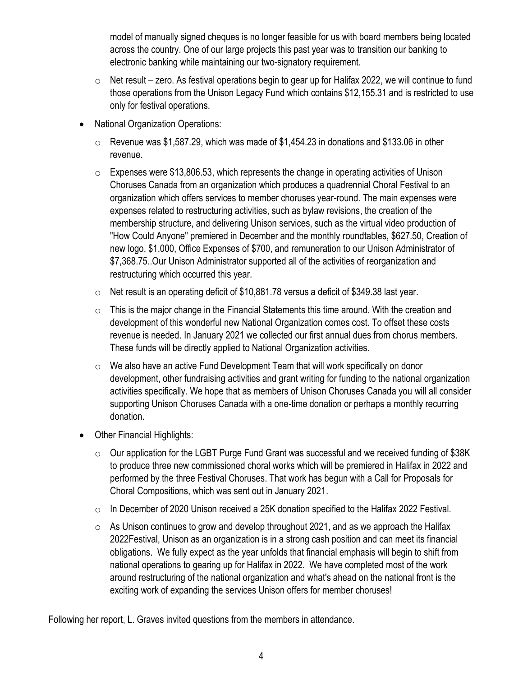model of manually signed cheques is no longer feasible for us with board members being located across the country. One of our large projects this past year was to transition our banking to electronic banking while maintaining our two-signatory requirement.

- o Net result zero. As festival operations begin to gear up for Halifax 2022, we will continue to fund those operations from the Unison Legacy Fund which contains \$12,155.31 and is restricted to use only for festival operations.
- National Organization Operations:
	- o Revenue was \$1,587.29, which was made of \$1,454.23 in donations and \$133.06 in other revenue.
	- o Expenses were \$13,806.53, which represents the change in operating activities of Unison Choruses Canada from an organization which produces a quadrennial Choral Festival to an organization which offers services to member choruses year-round. The main expenses were expenses related to restructuring activities, such as bylaw revisions, the creation of the membership structure, and delivering Unison services, such as the virtual video production of "How Could Anyone" premiered in December and the monthly roundtables, \$627.50, Creation of new logo, \$1,000, Office Expenses of \$700, and remuneration to our Unison Administrator of \$7,368.75..Our Unison Administrator supported all of the activities of reorganization and restructuring which occurred this year.
	- o Net result is an operating deficit of \$10,881.78 versus a deficit of \$349.38 last year.
	- $\circ$  This is the major change in the Financial Statements this time around. With the creation and development of this wonderful new National Organization comes cost. To offset these costs revenue is needed. In January 2021 we collected our first annual dues from chorus members. These funds will be directly applied to National Organization activities.
	- o We also have an active Fund Development Team that will work specifically on donor development, other fundraising activities and grant writing for funding to the national organization activities specifically. We hope that as members of Unison Choruses Canada you will all consider supporting Unison Choruses Canada with a one-time donation or perhaps a monthly recurring donation.
- Other Financial Highlights:
	- $\circ$  Our application for the LGBT Purge Fund Grant was successful and we received funding of \$38K to produce three new commissioned choral works which will be premiered in Halifax in 2022 and performed by the three Festival Choruses. That work has begun with a Call for Proposals for Choral Compositions, which was sent out in January 2021.
	- o In December of 2020 Unison received a 25K donation specified to the Halifax 2022 Festival.
	- $\circ$  As Unison continues to grow and develop throughout 2021, and as we approach the Halifax 2022Festival, Unison as an organization is in a strong cash position and can meet its financial obligations. We fully expect as the year unfolds that financial emphasis will begin to shift from national operations to gearing up for Halifax in 2022. We have completed most of the work around restructuring of the national organization and what's ahead on the national front is the exciting work of expanding the services Unison offers for member choruses!

Following her report, L. Graves invited questions from the members in attendance.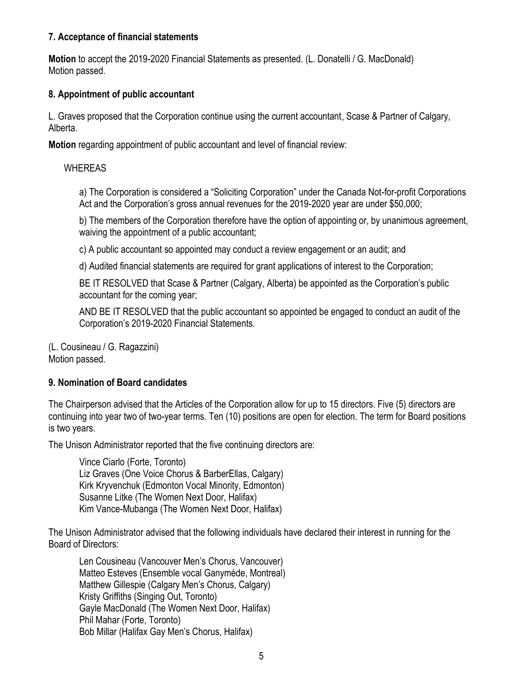### **7. Acceptance of financial statements**

**Motion** to accept the 2019-2020 Financial Statements as presented. (L. Donatelli / G. MacDonald) Motion passed.

### **8. Appointment of public accountant**

L. Graves proposed that the Corporation continue using the current accountant, Scase & Partner of Calgary, Alberta.

**Motion** regarding appointment of public accountant and level of financial review:

### WHEREAS

a) The Corporation is considered a "Soliciting Corporation" under the Canada Not-for-profit Corporations Act and the Corporation's gross annual revenues for the 2019-2020 year are under \$50,000;

b) The members of the Corporation therefore have the option of appointing or, by unanimous agreement, waiving the appointment of a public accountant;

c) A public accountant so appointed may conduct a review engagement or an audit; and

d) Audited financial statements are required for grant applications of interest to the Corporation;

BE IT RESOLVED that Scase & Partner (Calgary, Alberta) be appointed as the Corporation's public accountant for the coming year;

AND BE IT RESOLVED that the public accountant so appointed be engaged to conduct an audit of the Corporation's 2019-2020 Financial Statements.

(L. Cousineau / G. Ragazzini) Motion passed.

### **9. Nomination of Board candidates**

The Chairperson advised that the Articles of the Corporation allow for up to 15 directors. Five (5) directors are continuing into year two of two-year terms. Ten (10) positions are open for election. The term for Board positions is two years.

The Unison Administrator reported that the five continuing directors are:

Vince Ciarlo (Forte, Toronto) Liz Graves (One Voice Chorus & BarberEllas, Calgary) Kirk Kryvenchuk (Edmonton Vocal Minority, Edmonton) Susanne Litke (The Women Next Door, Halifax) Kim Vance-Mubanga (The Women Next Door, Halifax)

The Unison Administrator advised that the following individuals have declared their interest in running for the Board of Directors:

Len Cousineau (Vancouver Men's Chorus, Vancouver) Matteo Esteves (Ensemble vocal Ganymède, Montreal) Matthew Gillespie (Calgary Men's Chorus, Calgary) Kristy Griffiths (Singing Out, Toronto) Gayle MacDonald (The Women Next Door, Halifax) Phil Mahar (Forte, Toronto) Bob Millar (Halifax Gay Men's Chorus, Halifax)